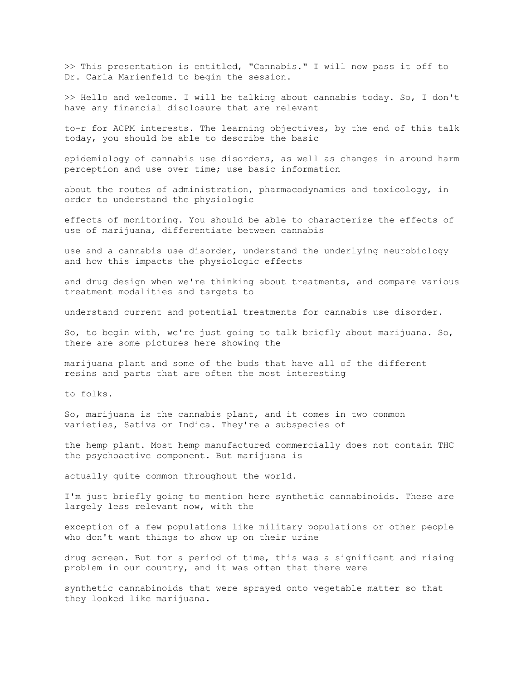>> This presentation is entitled, "Cannabis." I will now pass it off to Dr. Carla Marienfeld to begin the session.

>> Hello and welcome. I will be talking about cannabis today. So, I don't have any financial disclosure that are relevant

to-r for ACPM interests. The learning objectives, by the end of this talk today, you should be able to describe the basic

epidemiology of cannabis use disorders, as well as changes in around harm perception and use over time; use basic information

about the routes of administration, pharmacodynamics and toxicology, in order to understand the physiologic

effects of monitoring. You should be able to characterize the effects of use of marijuana, differentiate between cannabis

use and a cannabis use disorder, understand the underlying neurobiology and how this impacts the physiologic effects

and drug design when we're thinking about treatments, and compare various treatment modalities and targets to

understand current and potential treatments for cannabis use disorder.

So, to begin with, we're just going to talk briefly about marijuana. So, there are some pictures here showing the

marijuana plant and some of the buds that have all of the different resins and parts that are often the most interesting

to folks.

So, marijuana is the cannabis plant, and it comes in two common varieties, Sativa or Indica. They're a subspecies of

the hemp plant. Most hemp manufactured commercially does not contain THC the psychoactive component. But marijuana is

actually quite common throughout the world.

I'm just briefly going to mention here synthetic cannabinoids. These are largely less relevant now, with the

exception of a few populations like military populations or other people who don't want things to show up on their urine

drug screen. But for a period of time, this was a significant and rising problem in our country, and it was often that there were

synthetic cannabinoids that were sprayed onto vegetable matter so that they looked like marijuana.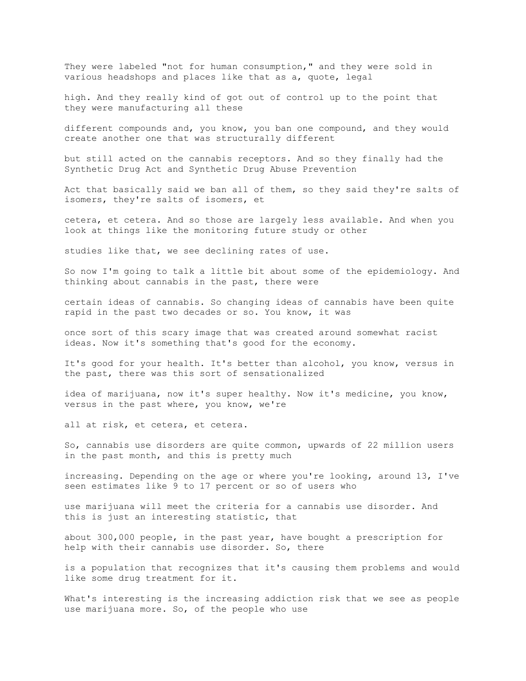They were labeled "not for human consumption," and they were sold in various headshops and places like that as a, quote, legal

high. And they really kind of got out of control up to the point that they were manufacturing all these

different compounds and, you know, you ban one compound, and they would create another one that was structurally different

but still acted on the cannabis receptors. And so they finally had the Synthetic Drug Act and Synthetic Drug Abuse Prevention

Act that basically said we ban all of them, so they said they're salts of isomers, they're salts of isomers, et

cetera, et cetera. And so those are largely less available. And when you look at things like the monitoring future study or other

studies like that, we see declining rates of use.

So now I'm going to talk a little bit about some of the epidemiology. And thinking about cannabis in the past, there were

certain ideas of cannabis. So changing ideas of cannabis have been quite rapid in the past two decades or so. You know, it was

once sort of this scary image that was created around somewhat racist ideas. Now it's something that's good for the economy.

It's good for your health. It's better than alcohol, you know, versus in the past, there was this sort of sensationalized

idea of marijuana, now it's super healthy. Now it's medicine, you know, versus in the past where, you know, we're

all at risk, et cetera, et cetera.

So, cannabis use disorders are quite common, upwards of 22 million users in the past month, and this is pretty much

increasing. Depending on the age or where you're looking, around 13, I've seen estimates like 9 to 17 percent or so of users who

use marijuana will meet the criteria for a cannabis use disorder. And this is just an interesting statistic, that

about 300,000 people, in the past year, have bought a prescription for help with their cannabis use disorder. So, there

is a population that recognizes that it's causing them problems and would like some drug treatment for it.

What's interesting is the increasing addiction risk that we see as people use marijuana more. So, of the people who use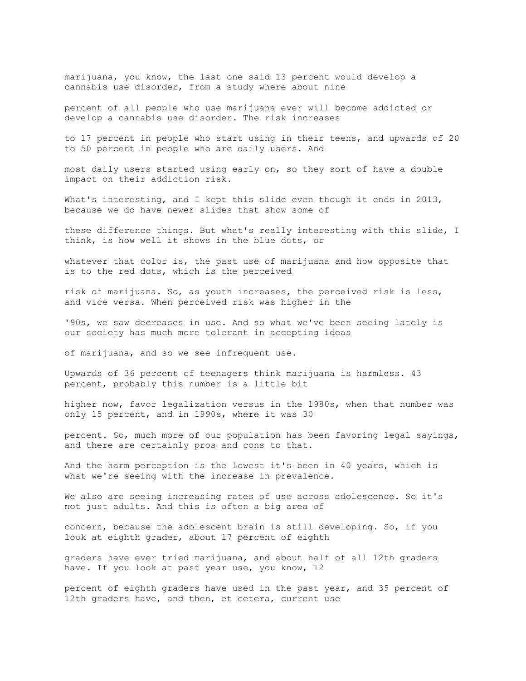marijuana, you know, the last one said 13 percent would develop a cannabis use disorder, from a study where about nine

percent of all people who use marijuana ever will become addicted or develop a cannabis use disorder. The risk increases

to 17 percent in people who start using in their teens, and upwards of 20 to 50 percent in people who are daily users. And

most daily users started using early on, so they sort of have a double impact on their addiction risk.

What's interesting, and I kept this slide even though it ends in 2013, because we do have newer slides that show some of

these difference things. But what's really interesting with this slide, I think, is how well it shows in the blue dots, or

whatever that color is, the past use of marijuana and how opposite that is to the red dots, which is the perceived

risk of marijuana. So, as youth increases, the perceived risk is less, and vice versa. When perceived risk was higher in the

'90s, we saw decreases in use. And so what we've been seeing lately is our society has much more tolerant in accepting ideas

of marijuana, and so we see infrequent use.

Upwards of 36 percent of teenagers think marijuana is harmless. 43 percent, probably this number is a little bit

higher now, favor legalization versus in the 1980s, when that number was only 15 percent, and in 1990s, where it was 30

percent. So, much more of our population has been favoring legal sayings, and there are certainly pros and cons to that.

And the harm perception is the lowest it's been in 40 years, which is what we're seeing with the increase in prevalence.

We also are seeing increasing rates of use across adolescence. So it's not just adults. And this is often a big area of

concern, because the adolescent brain is still developing. So, if you look at eighth grader, about 17 percent of eighth

graders have ever tried marijuana, and about half of all 12th graders have. If you look at past year use, you know, 12

percent of eighth graders have used in the past year, and 35 percent of 12th graders have, and then, et cetera, current use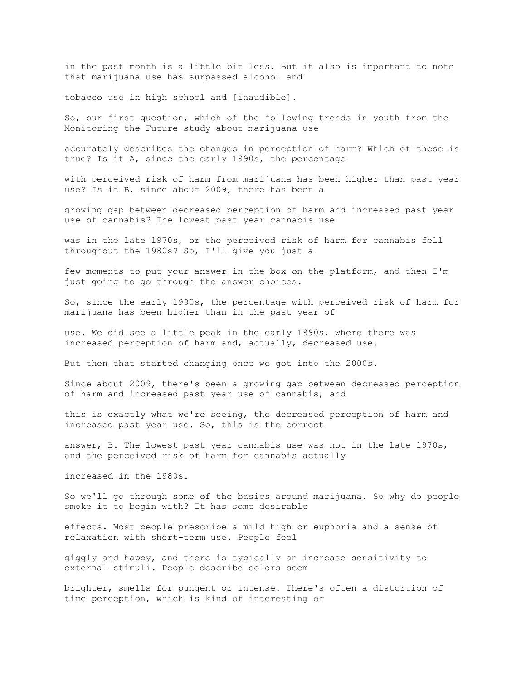in the past month is a little bit less. But it also is important to note that marijuana use has surpassed alcohol and

tobacco use in high school and [inaudible].

So, our first question, which of the following trends in youth from the Monitoring the Future study about marijuana use

accurately describes the changes in perception of harm? Which of these is true? Is it A, since the early 1990s, the percentage

with perceived risk of harm from marijuana has been higher than past year use? Is it B, since about 2009, there has been a

growing gap between decreased perception of harm and increased past year use of cannabis? The lowest past year cannabis use

was in the late 1970s, or the perceived risk of harm for cannabis fell throughout the 1980s? So, I'll give you just a

few moments to put your answer in the box on the platform, and then I'm just going to go through the answer choices.

So, since the early 1990s, the percentage with perceived risk of harm for marijuana has been higher than in the past year of

use. We did see a little peak in the early 1990s, where there was increased perception of harm and, actually, decreased use.

But then that started changing once we got into the 2000s.

Since about 2009, there's been a growing gap between decreased perception of harm and increased past year use of cannabis, and

this is exactly what we're seeing, the decreased perception of harm and increased past year use. So, this is the correct

answer, B. The lowest past year cannabis use was not in the late 1970s, and the perceived risk of harm for cannabis actually

increased in the 1980s.

So we'll go through some of the basics around marijuana. So why do people smoke it to begin with? It has some desirable

effects. Most people prescribe a mild high or euphoria and a sense of relaxation with short-term use. People feel

giggly and happy, and there is typically an increase sensitivity to external stimuli. People describe colors seem

brighter, smells for pungent or intense. There's often a distortion of time perception, which is kind of interesting or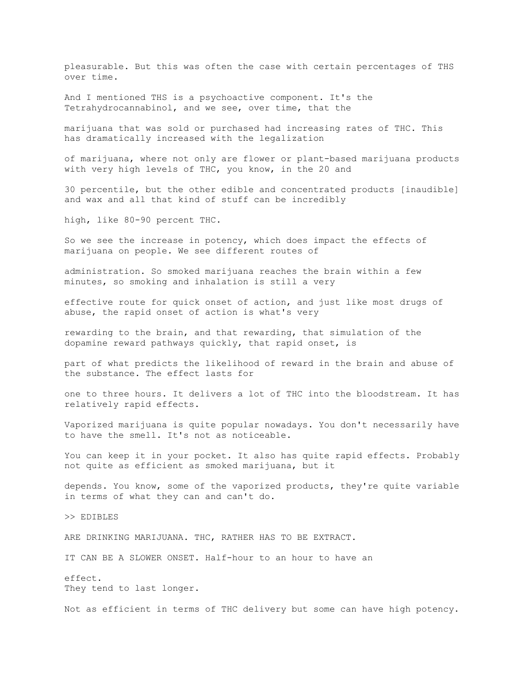pleasurable. But this was often the case with certain percentages of THS over time.

And I mentioned THS is a psychoactive component. It's the Tetrahydrocannabinol, and we see, over time, that the

marijuana that was sold or purchased had increasing rates of THC. This has dramatically increased with the legalization

of marijuana, where not only are flower or plant-based marijuana products with very high levels of THC, you know, in the 20 and

30 percentile, but the other edible and concentrated products [inaudible] and wax and all that kind of stuff can be incredibly

high, like 80-90 percent THC.

So we see the increase in potency, which does impact the effects of marijuana on people. We see different routes of

administration. So smoked marijuana reaches the brain within a few minutes, so smoking and inhalation is still a very

effective route for quick onset of action, and just like most drugs of abuse, the rapid onset of action is what's very

rewarding to the brain, and that rewarding, that simulation of the dopamine reward pathways quickly, that rapid onset, is

part of what predicts the likelihood of reward in the brain and abuse of the substance. The effect lasts for

one to three hours. It delivers a lot of THC into the bloodstream. It has relatively rapid effects.

Vaporized marijuana is quite popular nowadays. You don't necessarily have to have the smell. It's not as noticeable.

You can keep it in your pocket. It also has quite rapid effects. Probably not quite as efficient as smoked marijuana, but it

depends. You know, some of the vaporized products, they're quite variable in terms of what they can and can't do.

>> EDIBLES

ARE DRINKING MARIJUANA. THC, RATHER HAS TO BE EXTRACT.

IT CAN BE A SLOWER ONSET. Half-hour to an hour to have an

effect. They tend to last longer.

Not as efficient in terms of THC delivery but some can have high potency.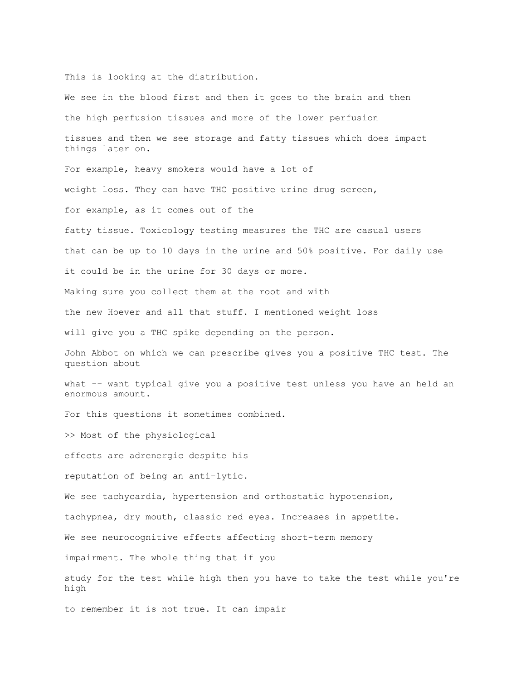This is looking at the distribution.

We see in the blood first and then it goes to the brain and then the high perfusion tissues and more of the lower perfusion tissues and then we see storage and fatty tissues which does impact things later on. For example, heavy smokers would have a lot of weight loss. They can have THC positive urine drug screen, for example, as it comes out of the fatty tissue. Toxicology testing measures the THC are casual users that can be up to 10 days in the urine and 50% positive. For daily use it could be in the urine for 30 days or more. Making sure you collect them at the root and with the new Hoever and all that stuff. I mentioned weight loss will give you a THC spike depending on the person. John Abbot on which we can prescribe gives you a positive THC test. The question about what -- want typical give you a positive test unless you have an held an enormous amount. For this questions it sometimes combined. >> Most of the physiological effects are adrenergic despite his reputation of being an anti-lytic. We see tachycardia, hypertension and orthostatic hypotension, tachypnea, dry mouth, classic red eyes. Increases in appetite. We see neurocognitive effects affecting short-term memory impairment. The whole thing that if you study for the test while high then you have to take the test while you're high to remember it is not true. It can impair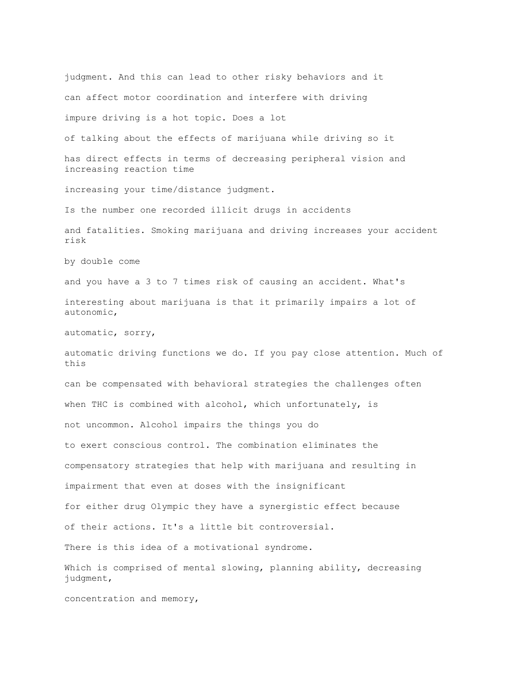judgment. And this can lead to other risky behaviors and it can affect motor coordination and interfere with driving impure driving is a hot topic. Does a lot of talking about the effects of marijuana while driving so it has direct effects in terms of decreasing peripheral vision and increasing reaction time increasing your time/distance judgment. Is the number one recorded illicit drugs in accidents and fatalities. Smoking marijuana and driving increases your accident risk by double come and you have a 3 to 7 times risk of causing an accident. What's interesting about marijuana is that it primarily impairs a lot of autonomic, automatic, sorry, automatic driving functions we do. If you pay close attention. Much of this can be compensated with behavioral strategies the challenges often when THC is combined with alcohol, which unfortunately, is not uncommon. Alcohol impairs the things you do to exert conscious control. The combination eliminates the compensatory strategies that help with marijuana and resulting in impairment that even at doses with the insignificant for either drug Olympic they have a synergistic effect because of their actions. It's a little bit controversial. There is this idea of a motivational syndrome. Which is comprised of mental slowing, planning ability, decreasing judgment,

concentration and memory,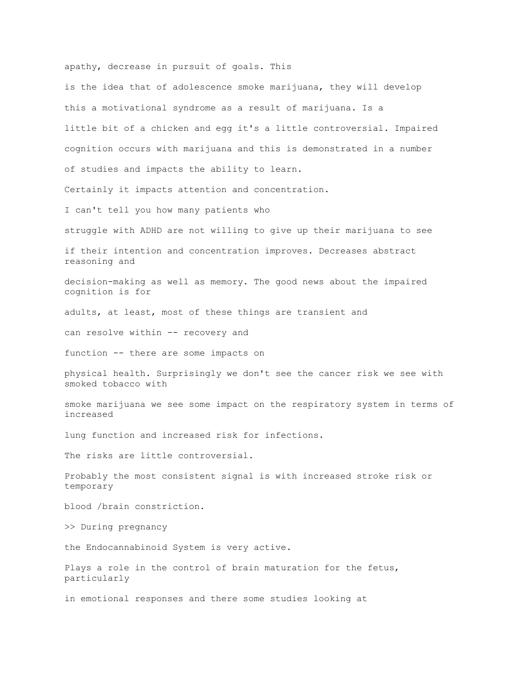apathy, decrease in pursuit of goals. This

is the idea that of adolescence smoke marijuana, they will develop this a motivational syndrome as a result of marijuana. Is a little bit of a chicken and egg it's a little controversial. Impaired cognition occurs with marijuana and this is demonstrated in a number of studies and impacts the ability to learn. Certainly it impacts attention and concentration. I can't tell you how many patients who struggle with ADHD are not willing to give up their marijuana to see if their intention and concentration improves. Decreases abstract reasoning and decision-making as well as memory. The good news about the impaired cognition is for adults, at least, most of these things are transient and can resolve within -- recovery and function -- there are some impacts on physical health. Surprisingly we don't see the cancer risk we see with smoked tobacco with smoke marijuana we see some impact on the respiratory system in terms of increased lung function and increased risk for infections. The risks are little controversial. Probably the most consistent signal is with increased stroke risk or temporary blood /brain constriction. >> During pregnancy the Endocannabinoid System is very active. Plays a role in the control of brain maturation for the fetus, particularly in emotional responses and there some studies looking at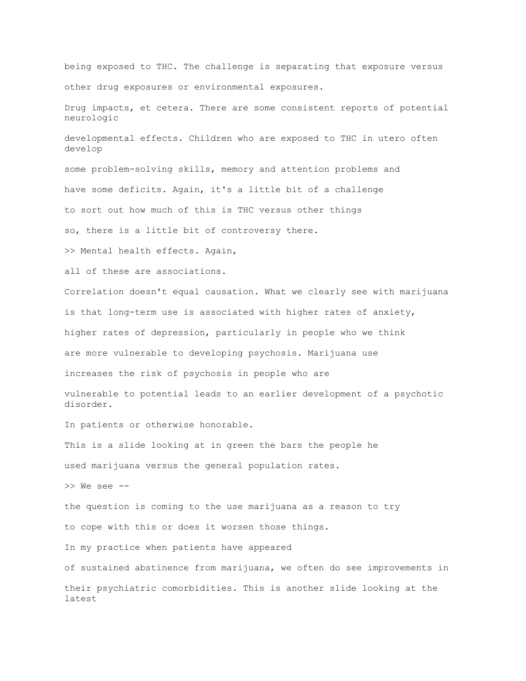being exposed to THC. The challenge is separating that exposure versus other drug exposures or environmental exposures.

Drug impacts, et cetera. There are some consistent reports of potential neurologic

developmental effects. Children who are exposed to THC in utero often develop

some problem-solving skills, memory and attention problems and have some deficits. Again, it's a little bit of a challenge to sort out how much of this is THC versus other things so, there is a little bit of controversy there.

>> Mental health effects. Again,

all of these are associations.

Correlation doesn't equal causation. What we clearly see with marijuana is that long-term use is associated with higher rates of anxiety, higher rates of depression, particularly in people who we think are more vulnerable to developing psychosis. Marijuana use

increases the risk of psychosis in people who are

vulnerable to potential leads to an earlier development of a psychotic disorder.

In patients or otherwise honorable.

This is a slide looking at in green the bars the people he used marijuana versus the general population rates.

>> We see --

the question is coming to the use marijuana as a reason to try to cope with this or does it worsen those things.

In my practice when patients have appeared

of sustained abstinence from marijuana, we often do see improvements in their psychiatric comorbidities. This is another slide looking at the latest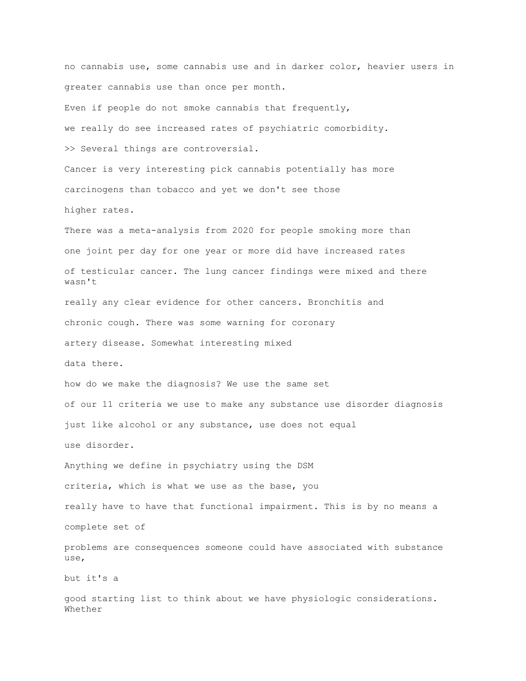no cannabis use, some cannabis use and in darker color, heavier users in greater cannabis use than once per month. Even if people do not smoke cannabis that frequently, we really do see increased rates of psychiatric comorbidity. >> Several things are controversial. Cancer is very interesting pick cannabis potentially has more carcinogens than tobacco and yet we don't see those higher rates. There was a meta-analysis from 2020 for people smoking more than one joint per day for one year or more did have increased rates of testicular cancer. The lung cancer findings were mixed and there wasn't really any clear evidence for other cancers. Bronchitis and chronic cough. There was some warning for coronary artery disease. Somewhat interesting mixed data there. how do we make the diagnosis? We use the same set of our 11 criteria we use to make any substance use disorder diagnosis just like alcohol or any substance, use does not equal use disorder. Anything we define in psychiatry using the DSM criteria, which is what we use as the base, you really have to have that functional impairment. This is by no means a complete set of problems are consequences someone could have associated with substance use, but it's a good starting list to think about we have physiologic considerations. Whether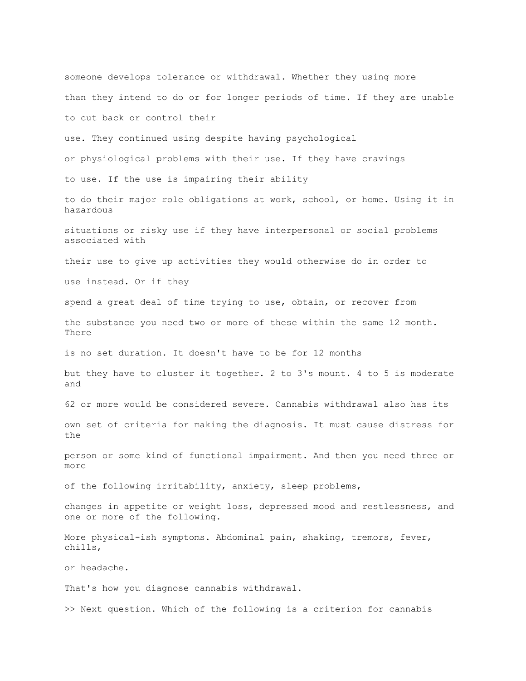someone develops tolerance or withdrawal. Whether they using more than they intend to do or for longer periods of time. If they are unable to cut back or control their use. They continued using despite having psychological or physiological problems with their use. If they have cravings to use. If the use is impairing their ability to do their major role obligations at work, school, or home. Using it in hazardous situations or risky use if they have interpersonal or social problems associated with their use to give up activities they would otherwise do in order to use instead. Or if they spend a great deal of time trying to use, obtain, or recover from the substance you need two or more of these within the same 12 month. There is no set duration. It doesn't have to be for 12 months but they have to cluster it together. 2 to 3's mount. 4 to 5 is moderate and 62 or more would be considered severe. Cannabis withdrawal also has its own set of criteria for making the diagnosis. It must cause distress for the person or some kind of functional impairment. And then you need three or more of the following irritability, anxiety, sleep problems, changes in appetite or weight loss, depressed mood and restlessness, and one or more of the following. More physical-ish symptoms. Abdominal pain, shaking, tremors, fever, chills, or headache. That's how you diagnose cannabis withdrawal. >> Next question. Which of the following is a criterion for cannabis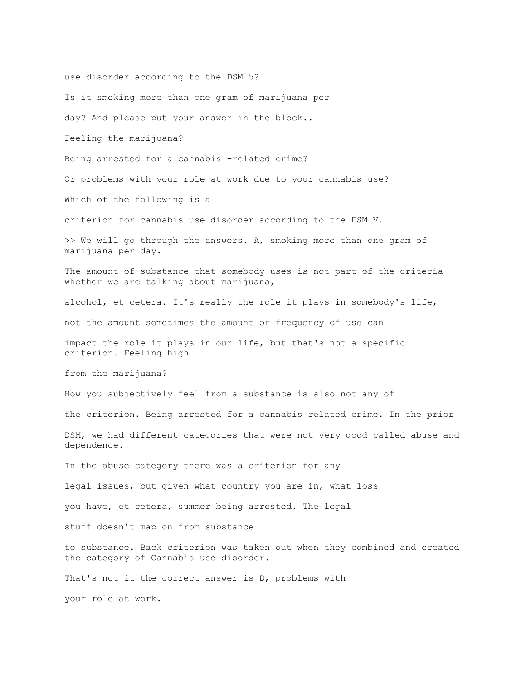use disorder according to the DSM 5? Is it smoking more than one gram of marijuana per day? And please put your answer in the block.. Feeling-the marijuana? Being arrested for a cannabis -related crime? Or problems with your role at work due to your cannabis use? Which of the following is a criterion for cannabis use disorder according to the DSM V. >> We will go through the answers. A, smoking more than one gram of marijuana per day. The amount of substance that somebody uses is not part of the criteria whether we are talking about marijuana, alcohol, et cetera. It's really the role it plays in somebody's life, not the amount sometimes the amount or frequency of use can impact the role it plays in our life, but that's not a specific criterion. Feeling high from the marijuana? How you subjectively feel from a substance is also not any of the criterion. Being arrested for a cannabis related crime. In the prior DSM, we had different categories that were not very good called abuse and dependence. In the abuse category there was a criterion for any legal issues, but given what country you are in, what loss you have, et cetera, summer being arrested. The legal stuff doesn't map on from substance to substance. Back criterion was taken out when they combined and created the category of Cannabis use disorder. That's not it the correct answer is D, problems with your role at work.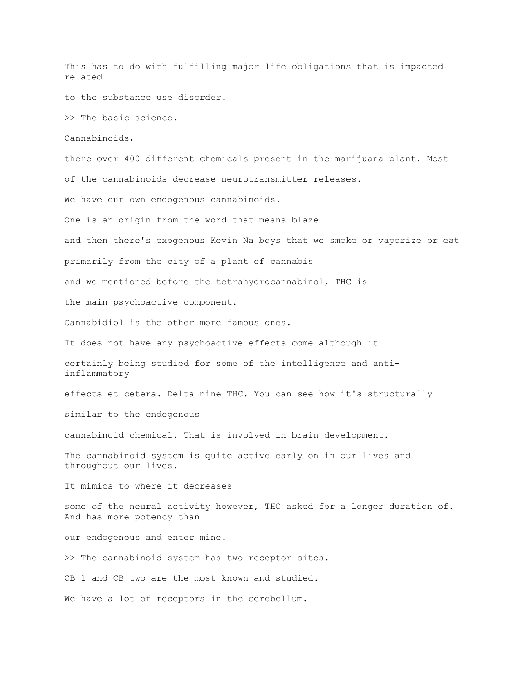This has to do with fulfilling major life obligations that is impacted related to the substance use disorder. >> The basic science. Cannabinoids, there over 400 different chemicals present in the marijuana plant. Most of the cannabinoids decrease neurotransmitter releases. We have our own endogenous cannabinoids. One is an origin from the word that means blaze and then there's exogenous Kevin Na boys that we smoke or vaporize or eat primarily from the city of a plant of cannabis and we mentioned before the tetrahydrocannabinol, THC is the main psychoactive component. Cannabidiol is the other more famous ones. It does not have any psychoactive effects come although it certainly being studied for some of the intelligence and antiinflammatory effects et cetera. Delta nine THC. You can see how it's structurally similar to the endogenous cannabinoid chemical. That is involved in brain development. The cannabinoid system is quite active early on in our lives and throughout our lives. It mimics to where it decreases some of the neural activity however, THC asked for a longer duration of. And has more potency than our endogenous and enter mine. >> The cannabinoid system has two receptor sites. CB 1 and CB two are the most known and studied. We have a lot of receptors in the cerebellum.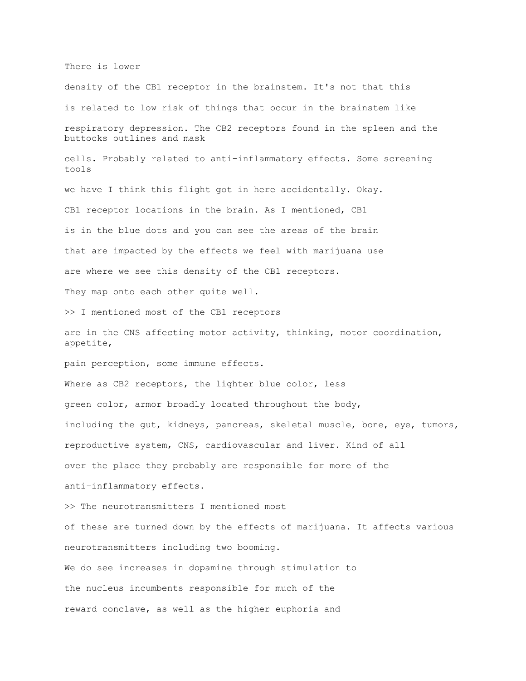There is lower

density of the CB1 receptor in the brainstem. It's not that this is related to low risk of things that occur in the brainstem like respiratory depression. The CB2 receptors found in the spleen and the buttocks outlines and mask cells. Probably related to anti-inflammatory effects. Some screening tools we have I think this flight got in here accidentally. Okay. CB1 receptor locations in the brain. As I mentioned, CB1 is in the blue dots and you can see the areas of the brain that are impacted by the effects we feel with marijuana use are where we see this density of the CB1 receptors. They map onto each other quite well. >> I mentioned most of the CB1 receptors are in the CNS affecting motor activity, thinking, motor coordination, appetite, pain perception, some immune effects. Where as CB2 receptors, the lighter blue color, less green color, armor broadly located throughout the body, including the gut, kidneys, pancreas, skeletal muscle, bone, eye, tumors, reproductive system, CNS, cardiovascular and liver. Kind of all over the place they probably are responsible for more of the anti-inflammatory effects. >> The neurotransmitters I mentioned most of these are turned down by the effects of marijuana. It affects various neurotransmitters including two booming. We do see increases in dopamine through stimulation to the nucleus incumbents responsible for much of the reward conclave, as well as the higher euphoria and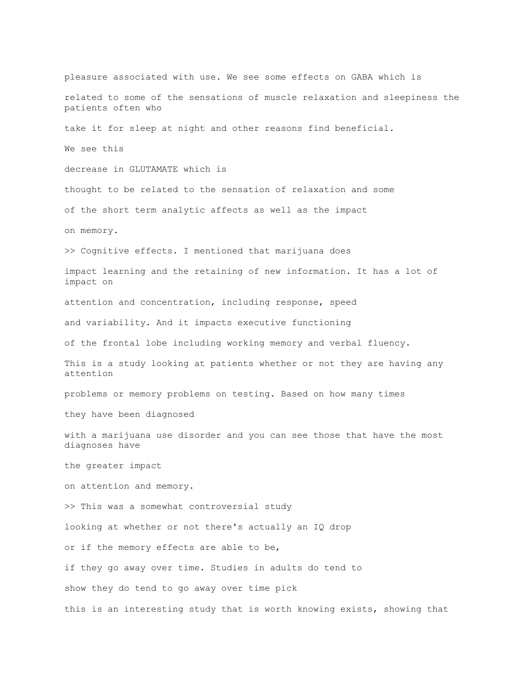pleasure associated with use. We see some effects on GABA which is related to some of the sensations of muscle relaxation and sleepiness the patients often who take it for sleep at night and other reasons find beneficial. We see this decrease in GLUTAMATE which is thought to be related to the sensation of relaxation and some of the short term analytic affects as well as the impact on memory. >> Cognitive effects. I mentioned that marijuana does impact learning and the retaining of new information. It has a lot of impact on attention and concentration, including response, speed and variability. And it impacts executive functioning of the frontal lobe including working memory and verbal fluency. This is a study looking at patients whether or not they are having any attention problems or memory problems on testing. Based on how many times they have been diagnosed with a marijuana use disorder and you can see those that have the most diagnoses have the greater impact on attention and memory. >> This was a somewhat controversial study looking at whether or not there's actually an IQ drop or if the memory effects are able to be, if they go away over time. Studies in adults do tend to show they do tend to go away over time pick this is an interesting study that is worth knowing exists, showing that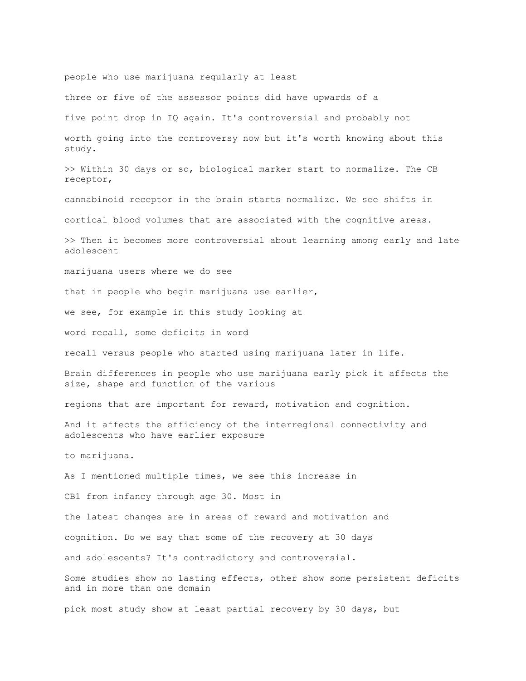people who use marijuana regularly at least three or five of the assessor points did have upwards of a five point drop in IQ again. It's controversial and probably not worth going into the controversy now but it's worth knowing about this study. >> Within 30 days or so, biological marker start to normalize. The CB receptor, cannabinoid receptor in the brain starts normalize. We see shifts in cortical blood volumes that are associated with the cognitive areas. >> Then it becomes more controversial about learning among early and late adolescent marijuana users where we do see that in people who begin marijuana use earlier, we see, for example in this study looking at word recall, some deficits in word recall versus people who started using marijuana later in life. Brain differences in people who use marijuana early pick it affects the size, shape and function of the various regions that are important for reward, motivation and cognition. And it affects the efficiency of the interregional connectivity and adolescents who have earlier exposure to marijuana. As I mentioned multiple times, we see this increase in CB1 from infancy through age 30. Most in the latest changes are in areas of reward and motivation and cognition. Do we say that some of the recovery at 30 days and adolescents? It's contradictory and controversial. Some studies show no lasting effects, other show some persistent deficits and in more than one domain pick most study show at least partial recovery by 30 days, but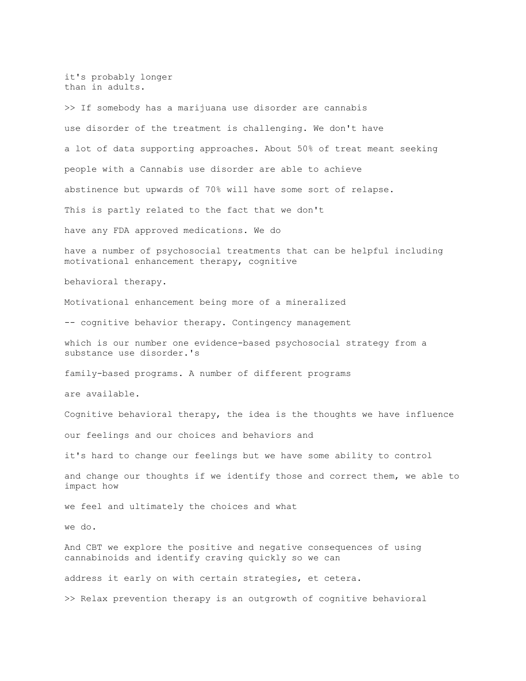it's probably longer than in adults. >> If somebody has a marijuana use disorder are cannabis use disorder of the treatment is challenging. We don't have a lot of data supporting approaches. About 50% of treat meant seeking people with a Cannabis use disorder are able to achieve abstinence but upwards of 70% will have some sort of relapse. This is partly related to the fact that we don't have any FDA approved medications. We do have a number of psychosocial treatments that can be helpful including motivational enhancement therapy, cognitive behavioral therapy. Motivational enhancement being more of a mineralized -- cognitive behavior therapy. Contingency management which is our number one evidence-based psychosocial strategy from a substance use disorder.'s family-based programs. A number of different programs are available. Cognitive behavioral therapy, the idea is the thoughts we have influence our feelings and our choices and behaviors and it's hard to change our feelings but we have some ability to control and change our thoughts if we identify those and correct them, we able to impact how we feel and ultimately the choices and what we do. And CBT we explore the positive and negative consequences of using cannabinoids and identify craving quickly so we can address it early on with certain strategies, et cetera. >> Relax prevention therapy is an outgrowth of cognitive behavioral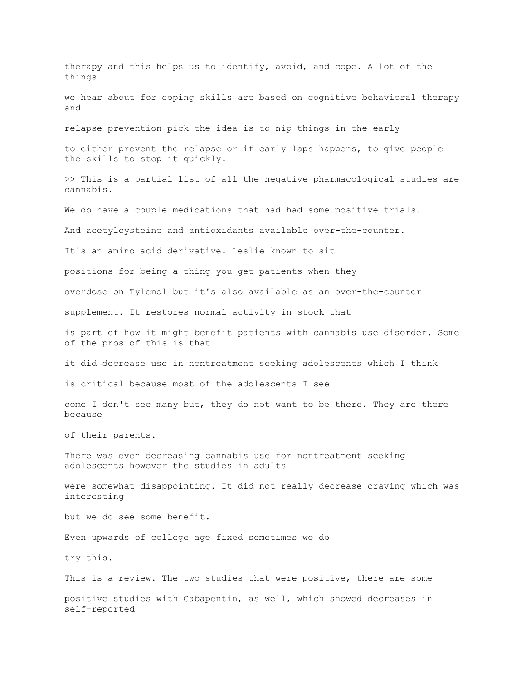therapy and this helps us to identify, avoid, and cope. A lot of the things we hear about for coping skills are based on cognitive behavioral therapy and relapse prevention pick the idea is to nip things in the early to either prevent the relapse or if early laps happens, to give people the skills to stop it quickly. >> This is a partial list of all the negative pharmacological studies are cannabis. We do have a couple medications that had had some positive trials. And acetylcysteine and antioxidants available over-the-counter. It's an amino acid derivative. Leslie known to sit positions for being a thing you get patients when they overdose on Tylenol but it's also available as an over-the-counter supplement. It restores normal activity in stock that is part of how it might benefit patients with cannabis use disorder. Some of the pros of this is that it did decrease use in nontreatment seeking adolescents which I think is critical because most of the adolescents I see come I don't see many but, they do not want to be there. They are there because of their parents. There was even decreasing cannabis use for nontreatment seeking adolescents however the studies in adults were somewhat disappointing. It did not really decrease craving which was interesting but we do see some benefit. Even upwards of college age fixed sometimes we do try this. This is a review. The two studies that were positive, there are some positive studies with Gabapentin, as well, which showed decreases in self-reported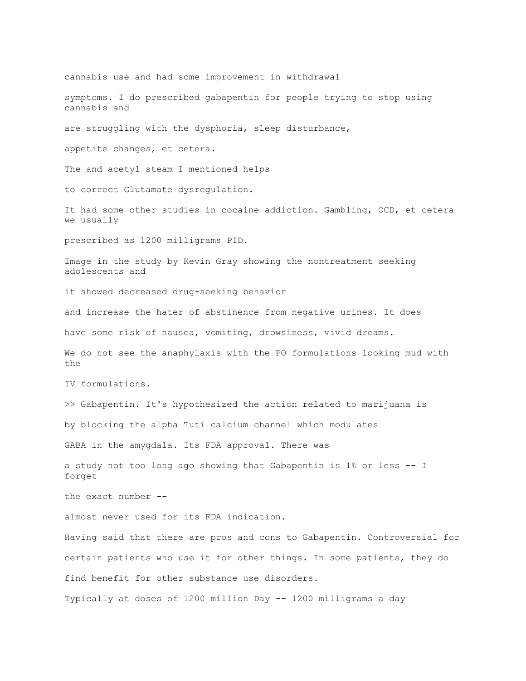cannabis use and had some improvement in withdrawal symptoms. I do prescribed gabapentin for people trying to stop using cannabis and are struggling with the dysphoria, sleep disturbance, appetite changes, et cetera. The and acetyl steam I mentioned helps to correct Glutamate dysregulation. It had some other studies in cocaine addiction. Gambling, OCD, et cetera we usually prescribed as 1200 milligrams PID. Image in the study by Kevin Gray showing the nontreatment seeking adolescents and it showed decreased drug-seeking behavior and increase the hater of abstinence from negative urines. It does have some risk of nausea, vomiting, drowsiness, vivid dreams. We do not see the anaphylaxis with the PO formulations looking mud with the IV formulations. >> Gabapentin. It's hypothesized the action related to marijuana is by blocking the alpha Tuti calcium channel which modulates GABA in the amygdala. Its FDA approval. There was a study not too long ago showing that Gabapentin is 1% or less -- I forget the exact number - almost never used for its FDA indication. Having said that there are pros and cons to Gabapentin. Controversial for certain patients who use it for other things. In some patients, they do find benefit for other substance use disorders. Typically at doses of 1200 million Day -- 1200 milligrams a day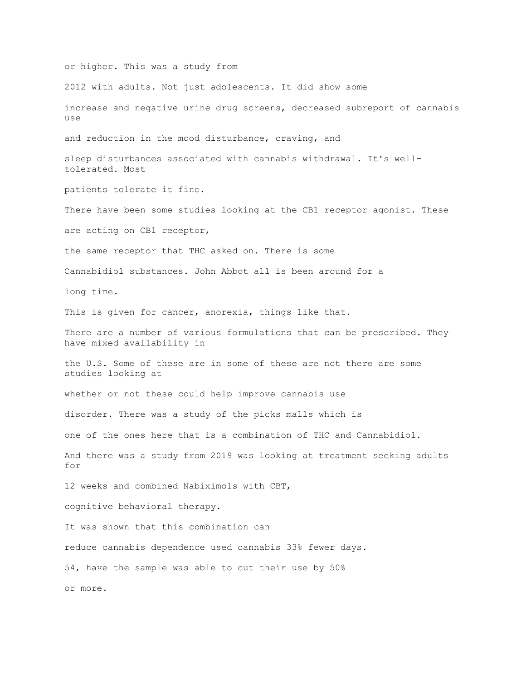or higher. This was a study from 2012 with adults. Not just adolescents. It did show some increase and negative urine drug screens, decreased subreport of cannabis use and reduction in the mood disturbance, craving, and sleep disturbances associated with cannabis withdrawal. It's welltolerated. Most patients tolerate it fine. There have been some studies looking at the CB1 receptor agonist. These are acting on CB1 receptor, the same receptor that THC asked on. There is some Cannabidiol substances. John Abbot all is been around for a long time. This is given for cancer, anorexia, things like that. There are a number of various formulations that can be prescribed. They have mixed availability in the U.S. Some of these are in some of these are not there are some studies looking at whether or not these could help improve cannabis use disorder. There was a study of the picks malls which is one of the ones here that is a combination of THC and Cannabidiol. And there was a study from 2019 was looking at treatment seeking adults for 12 weeks and combined Nabiximols with CBT, cognitive behavioral therapy. It was shown that this combination can reduce cannabis dependence used cannabis 33% fewer days. 54, have the sample was able to cut their use by 50% or more.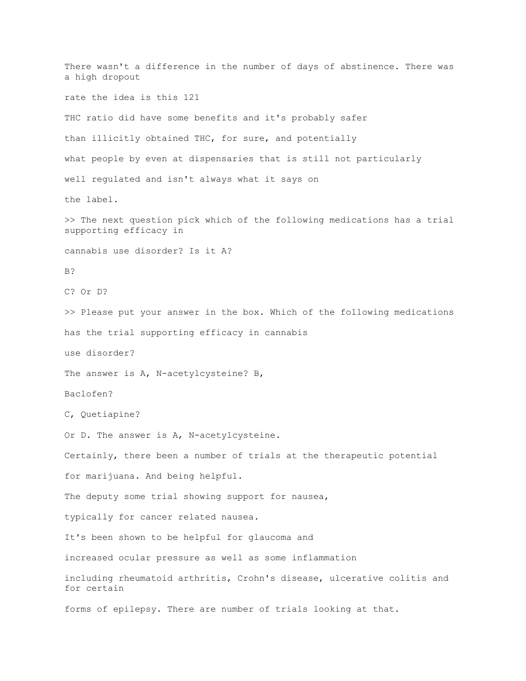There wasn't a difference in the number of days of abstinence. There was a high dropout rate the idea is this 121 THC ratio did have some benefits and it's probably safer than illicitly obtained THC, for sure, and potentially what people by even at dispensaries that is still not particularly well regulated and isn't always what it says on the label. >> The next question pick which of the following medications has a trial supporting efficacy in cannabis use disorder? Is it A? B? C? Or D? >> Please put your answer in the box. Which of the following medications has the trial supporting efficacy in cannabis use disorder? The answer is A, N-acetylcysteine? B, Baclofen? C, Quetiapine? Or D. The answer is A, N-acetylcysteine. Certainly, there been a number of trials at the therapeutic potential for marijuana. And being helpful. The deputy some trial showing support for nausea, typically for cancer related nausea. It's been shown to be helpful for glaucoma and increased ocular pressure as well as some inflammation including rheumatoid arthritis, Crohn's disease, ulcerative colitis and for certain forms of epilepsy. There are number of trials looking at that.